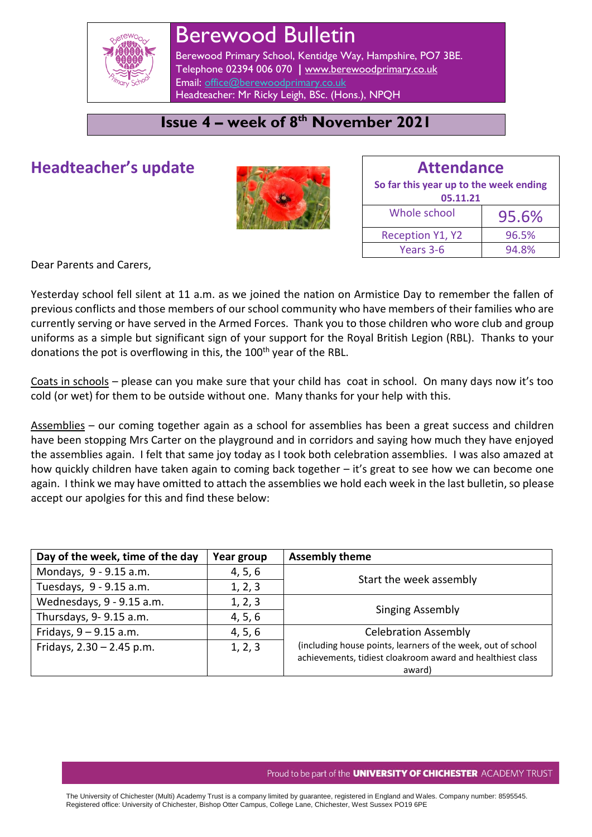

# Berewood Bulletin

Berewood Primary School, Kentidge Way, Hampshire, PO7 3BE. Telephone 02394 006 070 **|** [www.berewoodprimary.co.uk](http://www.berewoodprimary.co.uk/) Email: [office@berewoodprimary.co.uk](mailto:office@berewoodprimary.co.uk) Headteacher: Mr Ricky Leigh, BSc. (Hons.), NPQH

### **Issue 4 – week of 8 th November 2021**

## **Headteacher's update**



| <b>Attendance</b>                                  |       |  |
|----------------------------------------------------|-------|--|
| So far this year up to the week ending<br>05.11.21 |       |  |
| Whole school                                       | 95.6% |  |
| <b>Reception Y1, Y2</b>                            | 96.5% |  |
| Years 3-6                                          | 94.8% |  |

Dear Parents and Carers,

Yesterday school fell silent at 11 a.m. as we joined the nation on Armistice Day to remember the fallen of previous conflicts and those members of our school community who have members of their families who are currently serving or have served in the Armed Forces. Thank you to those children who wore club and group uniforms as a simple but significant sign of your support for the Royal British Legion (RBL). Thanks to your donations the pot is overflowing in this, the 100<sup>th</sup> year of the RBL.

Coats in schools – please can you make sure that your child has coat in school. On many days now it's too cold (or wet) for them to be outside without one. Many thanks for your help with this.

Assemblies – our coming together again as a school for assemblies has been a great success and children have been stopping Mrs Carter on the playground and in corridors and saying how much they have enjoyed the assemblies again. I felt that same joy today as I took both celebration assemblies. I was also amazed at how quickly children have taken again to coming back together – it's great to see how we can become one again. I think we may have omitted to attach the assemblies we hold each week in the last bulletin, so please accept our apolgies for this and find these below:

| Day of the week, time of the day | Year group | <b>Assembly theme</b>                                        |
|----------------------------------|------------|--------------------------------------------------------------|
| Mondays, 9 - 9.15 a.m.           | 4, 5, 6    | Start the week assembly                                      |
| Tuesdays, 9 - 9.15 a.m.          | 1, 2, 3    |                                                              |
| Wednesdays, 9 - 9.15 a.m.        | 1, 2, 3    | <b>Singing Assembly</b>                                      |
| Thursdays, 9-9.15 a.m.           | 4, 5, 6    |                                                              |
| Fridays, $9 - 9.15$ a.m.         | 4, 5, 6    | <b>Celebration Assembly</b>                                  |
| Fridays, $2.30 - 2.45$ p.m.      | 1, 2, 3    | (including house points, learners of the week, out of school |
|                                  |            | achievements, tidiest cloakroom award and healthiest class   |
|                                  |            | award)                                                       |

#### Proud to be part of the **UNIVERSITY OF CHICHESTER** ACADEMY TRUST

The University of Chichester (Multi) Academy Trust is a company limited by guarantee, registered in England and Wales. Company number: 8595545. Registered office: University of Chichester, Bishop Otter Campus, College Lane, Chichester, West Sussex PO19 6PE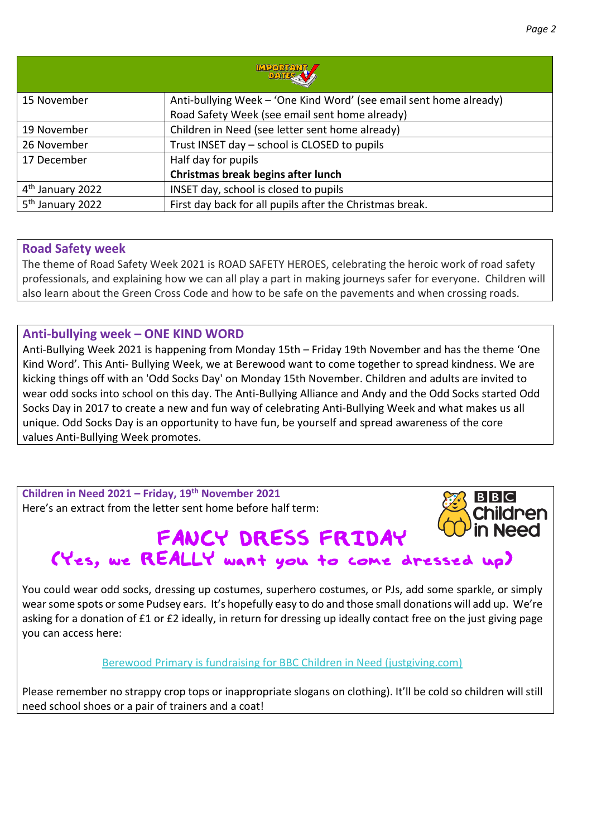| <b>MEORIANI</b>              |                                                                    |  |
|------------------------------|--------------------------------------------------------------------|--|
| 15 November                  | Anti-bullying Week - 'One Kind Word' (see email sent home already) |  |
|                              | Road Safety Week (see email sent home already)                     |  |
| 19 November                  | Children in Need (see letter sent home already)                    |  |
| 26 November                  | Trust INSET day - school is CLOSED to pupils                       |  |
| 17 December                  | Half day for pupils                                                |  |
|                              | Christmas break begins after lunch                                 |  |
| 4 <sup>th</sup> January 2022 | INSET day, school is closed to pupils                              |  |
| 5 <sup>th</sup> January 2022 | First day back for all pupils after the Christmas break.           |  |

#### **Road Safety week**

The theme of Road Safety Week 2021 is ROAD SAFETY HEROES, celebrating the heroic work of road safety professionals, and explaining how we can all play a part in making journeys safer for everyone. Children will also learn about the Green Cross Code and how to be safe on the pavements and when crossing roads.

#### **Anti-bullying week – ONE KIND WORD**

Anti-Bullying Week 2021 is happening from Monday 15th – Friday 19th November and has the theme 'One Kind Word'. This Anti- Bullying Week, we at Berewood want to come together to spread kindness. We are kicking things off with an 'Odd Socks Day' on Monday 15th November. Children and adults are invited to wear odd socks into school on this day. The Anti-Bullying Alliance and Andy and the Odd Socks started Odd Socks Day in 2017 to create a new and fun way of celebrating Anti-Bullying Week and what makes us all unique. Odd Socks Day is an opportunity to have fun, be yourself and spread awareness of the core values Anti-Bullying Week promotes.

**Children in Need 2021 – Friday, 19th November 2021** Here's an extract from the letter sent home before half term:

#### **Need** FANCY DRESS FRIDAY (Yes, we REALLY want you to come dressed up)

You could wear odd socks, dressing up costumes, superhero costumes, or PJs, add some sparkle, or simply wear some spots or some Pudsey ears. It's hopefully easy to do and those small donations will add up. We're asking for a donation of £1 or £2 ideally, in return for dressing up ideally contact free on the just giving page you can access here:

[Berewood Primary is fundraising for BBC Children in Need \(justgiving.com\)](https://www.justgiving.com/fundraising/berewoodcinfancydressfriday)

Please remember no strappy crop tops or inappropriate slogans on clothing). It'll be cold so children will still need school shoes or a pair of trainers and a coat!

 $B|B|C|$ 

Children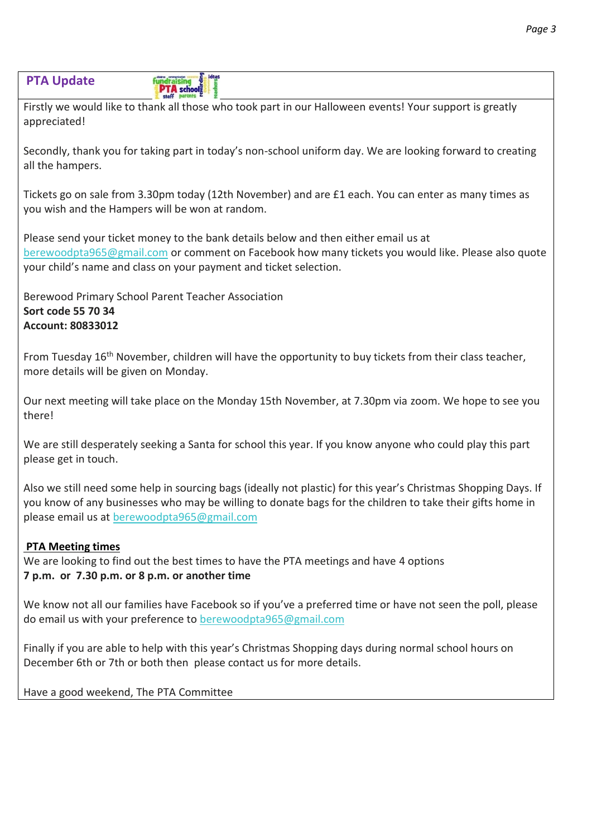#### **PTA Update PTA** school

Firstly we would like to thank all those who took part in our Halloween events! Your support is greatly appreciated!

Secondly, thank you for taking part in today's non-school uniform day. We are looking forward to creating all the hampers.

Tickets go on sale from 3.30pm today (12th November) and are £1 each. You can enter as many times as you wish and the Hampers will be won at random.

Please send your ticket money to the bank details below and then either email us at [berewoodpta965@gmail.com](mailto:berewoodpta965@gmail.com) or comment on Facebook how many tickets you would like. Please also quote your child's name and class on your payment and ticket selection.

Berewood Primary School Parent Teacher Association **Sort code 55 70 34 Account: 80833012**

From Tuesday 16<sup>th</sup> November, children will have the opportunity to buy tickets from their class teacher, more details will be given on Monday.

Our next meeting will take place on the Monday 15th November, at 7.30pm via zoom. We hope to see you there!

We are still desperately seeking a Santa for school this year. If you know anyone who could play this part please get in touch.

Also we still need some help in sourcing bags (ideally not plastic) for this year's Christmas Shopping Days. If you know of any businesses who may be willing to donate bags for the children to take their gifts home in please email us at [berewoodpta965@gmail.com](mailto:berewoodpta965@gmail.com)

#### **PTA Meeting times**

We are looking to find out the best times to have the PTA meetings and have 4 options **7 p.m. or 7.30 p.m. or 8 p.m. or another time**

We know not all our families have Facebook so if you've a preferred time or have not seen the poll, please do email us with your preference to [berewoodpta965@gmail.com](mailto:berewoodpta965@gmail.com)

Finally if you are able to help with this year's Christmas Shopping days during normal school hours on December 6th or 7th or both then please contact us for more details.

Have a good weekend, The PTA Committee